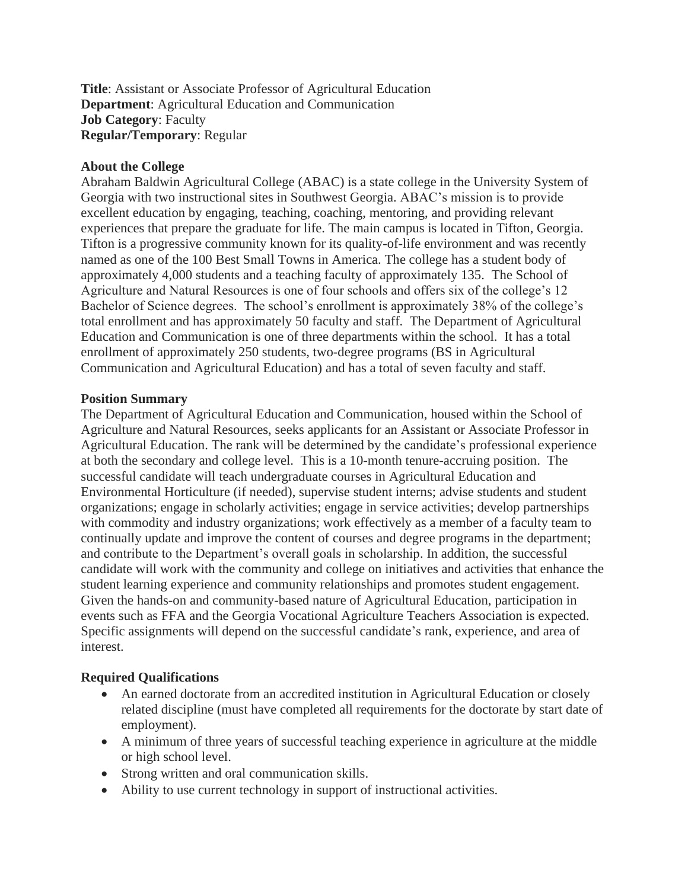**Title**: Assistant or Associate Professor of Agricultural Education **Department**: Agricultural Education and Communication **Job Category**: Faculty **Regular/Temporary**: Regular

### **About the College**

Abraham Baldwin Agricultural College (ABAC) is a state college in the University System of Georgia with two instructional sites in Southwest Georgia. ABAC's mission is to provide excellent education by engaging, teaching, coaching, mentoring, and providing relevant experiences that prepare the graduate for life. The main campus is located in Tifton, Georgia. Tifton is a progressive community known for its quality-of-life environment and was recently named as one of the 100 Best Small Towns in America. The college has a student body of approximately 4,000 students and a teaching faculty of approximately 135. The School of Agriculture and Natural Resources is one of four schools and offers six of the college's 12 Bachelor of Science degrees. The school's enrollment is approximately 38% of the college's total enrollment and has approximately 50 faculty and staff. The Department of Agricultural Education and Communication is one of three departments within the school. It has a total enrollment of approximately 250 students, two-degree programs (BS in Agricultural Communication and Agricultural Education) and has a total of seven faculty and staff.

#### **Position Summary**

The Department of Agricultural Education and Communication, housed within the School of Agriculture and Natural Resources, seeks applicants for an Assistant or Associate Professor in Agricultural Education. The rank will be determined by the candidate's professional experience at both the secondary and college level. This is a 10-month tenure-accruing position. The successful candidate will teach undergraduate courses in Agricultural Education and Environmental Horticulture (if needed), supervise student interns; advise students and student organizations; engage in scholarly activities; engage in service activities; develop partnerships with commodity and industry organizations; work effectively as a member of a faculty team to continually update and improve the content of courses and degree programs in the department; and contribute to the Department's overall goals in scholarship. In addition, the successful candidate will work with the community and college on initiatives and activities that enhance the student learning experience and community relationships and promotes student engagement. Given the hands-on and community-based nature of Agricultural Education, participation in events such as FFA and the Georgia Vocational Agriculture Teachers Association is expected. Specific assignments will depend on the successful candidate's rank, experience, and area of interest.

### **Required Qualifications**

- An earned doctorate from an accredited institution in Agricultural Education or closely related discipline (must have completed all requirements for the doctorate by start date of employment).
- A minimum of three years of successful teaching experience in agriculture at the middle or high school level.
- Strong written and oral communication skills.
- Ability to use current technology in support of instructional activities.